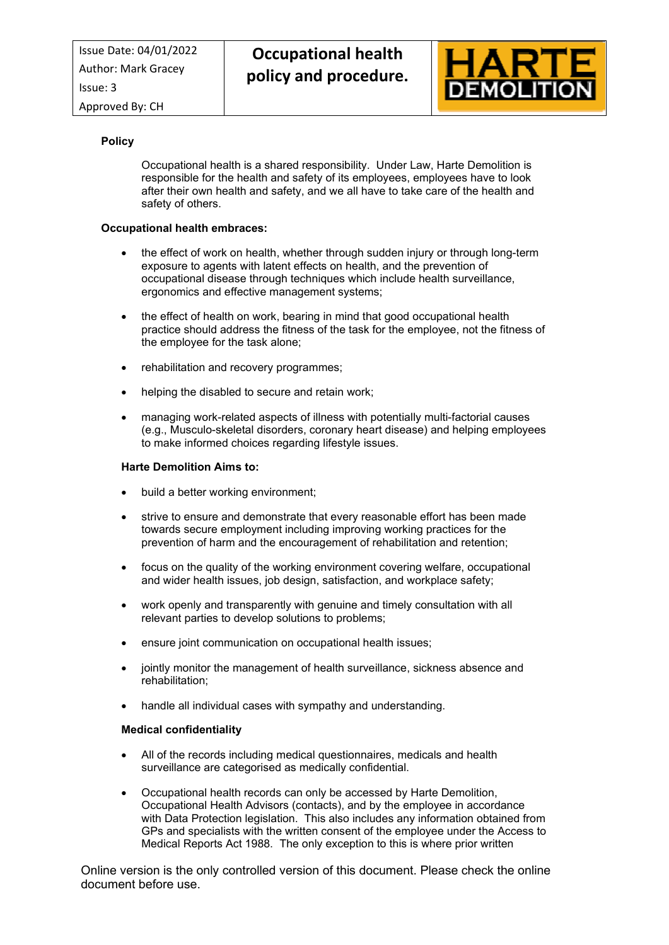

# **Policy**

Occupational health is a shared responsibility. Under Law, Harte Demolition is responsible for the health and safety of its employees, employees have to look after their own health and safety, and we all have to take care of the health and safety of others.

# **Occupational health embraces:**

- the effect of work on health, whether through sudden injury or through long-term exposure to agents with latent effects on health, and the prevention of occupational disease through techniques which include health surveillance, ergonomics and effective management systems;
- the effect of health on work, bearing in mind that good occupational health practice should address the fitness of the task for the employee, not the fitness of the employee for the task alone;
- rehabilitation and recovery programmes;
- helping the disabled to secure and retain work;
- managing work-related aspects of illness with potentially multi-factorial causes (e.g., Musculo-skeletal disorders, coronary heart disease) and helping employees to make informed choices regarding lifestyle issues.

## **Harte Demolition Aims to:**

- build a better working environment;
- strive to ensure and demonstrate that every reasonable effort has been made towards secure employment including improving working practices for the prevention of harm and the encouragement of rehabilitation and retention;
- focus on the quality of the working environment covering welfare, occupational and wider health issues, job design, satisfaction, and workplace safety;
- work openly and transparently with genuine and timely consultation with all relevant parties to develop solutions to problems;
- ensure joint communication on occupational health issues;
- jointly monitor the management of health surveillance, sickness absence and rehabilitation;
- handle all individual cases with sympathy and understanding.

#### **Medical confidentiality**

- All of the records including medical questionnaires, medicals and health surveillance are categorised as medically confidential.
- Occupational health records can only be accessed by Harte Demolition, Occupational Health Advisors (contacts), and by the employee in accordance with Data Protection legislation. This also includes any information obtained from GPs and specialists with the written consent of the employee under the Access to Medical Reports Act 1988. The only exception to this is where prior written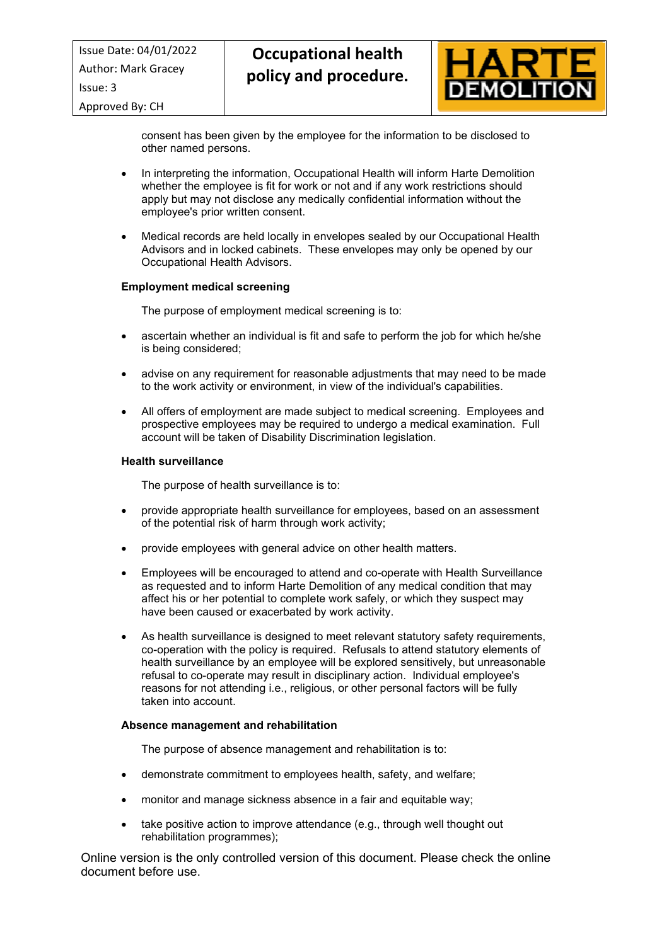Approved By: CH



consent has been given by the employee for the information to be disclosed to other named persons.

- In interpreting the information, Occupational Health will inform Harte Demolition whether the employee is fit for work or not and if any work restrictions should apply but may not disclose any medically confidential information without the employee's prior written consent.
- Medical records are held locally in envelopes sealed by our Occupational Health Advisors and in locked cabinets. These envelopes may only be opened by our Occupational Health Advisors.

# **Employment medical screening**

The purpose of employment medical screening is to:

- ascertain whether an individual is fit and safe to perform the job for which he/she is being considered;
- advise on any requirement for reasonable adjustments that may need to be made to the work activity or environment, in view of the individual's capabilities.
- All offers of employment are made subject to medical screening. Employees and prospective employees may be required to undergo a medical examination. Full account will be taken of Disability Discrimination legislation.

## **Health surveillance**

The purpose of health surveillance is to:

- provide appropriate health surveillance for employees, based on an assessment of the potential risk of harm through work activity;
- provide employees with general advice on other health matters.
- Employees will be encouraged to attend and co-operate with Health Surveillance as requested and to inform Harte Demolition of any medical condition that may affect his or her potential to complete work safely, or which they suspect may have been caused or exacerbated by work activity.
- As health surveillance is designed to meet relevant statutory safety requirements, co-operation with the policy is required. Refusals to attend statutory elements of health surveillance by an employee will be explored sensitively, but unreasonable refusal to co-operate may result in disciplinary action. Individual employee's reasons for not attending i.e., religious, or other personal factors will be fully taken into account.

#### **Absence management and rehabilitation**

The purpose of absence management and rehabilitation is to:

- demonstrate commitment to employees health, safety, and welfare;
- monitor and manage sickness absence in a fair and equitable way;
- take positive action to improve attendance (e.g., through well thought out rehabilitation programmes);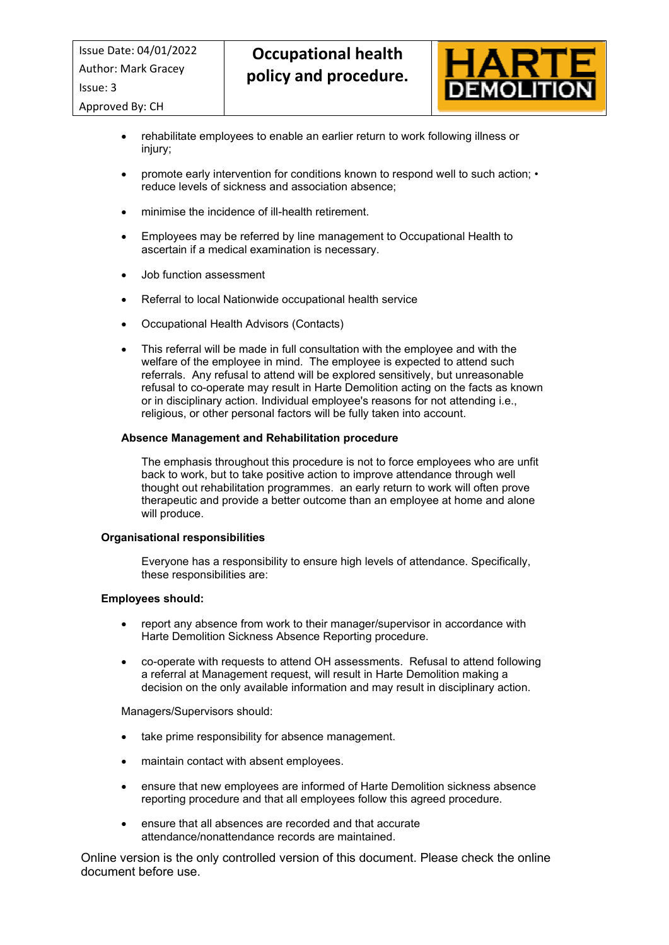Approved By: CH



- rehabilitate employees to enable an earlier return to work following illness or injury;
- promote early intervention for conditions known to respond well to such action; reduce levels of sickness and association absence;
- minimise the incidence of ill-health retirement.
- Employees may be referred by line management to Occupational Health to ascertain if a medical examination is necessary.
- Job function assessment
- Referral to local Nationwide occupational health service
- Occupational Health Advisors (Contacts)
- This referral will be made in full consultation with the employee and with the welfare of the employee in mind. The employee is expected to attend such referrals. Any refusal to attend will be explored sensitively, but unreasonable refusal to co-operate may result in Harte Demolition acting on the facts as known or in disciplinary action. Individual employee's reasons for not attending i.e., religious, or other personal factors will be fully taken into account.

## **Absence Management and Rehabilitation procedure**

The emphasis throughout this procedure is not to force employees who are unfit back to work, but to take positive action to improve attendance through well thought out rehabilitation programmes. an early return to work will often prove therapeutic and provide a better outcome than an employee at home and alone will produce.

#### **Organisational responsibilities**

Everyone has a responsibility to ensure high levels of attendance. Specifically, these responsibilities are:

#### **Employees should:**

- report any absence from work to their manager/supervisor in accordance with Harte Demolition Sickness Absence Reporting procedure.
- co-operate with requests to attend OH assessments. Refusal to attend following a referral at Management request, will result in Harte Demolition making a decision on the only available information and may result in disciplinary action.

Managers/Supervisors should:

- take prime responsibility for absence management.
- maintain contact with absent employees.
- ensure that new employees are informed of Harte Demolition sickness absence reporting procedure and that all employees follow this agreed procedure.
- ensure that all absences are recorded and that accurate attendance/nonattendance records are maintained.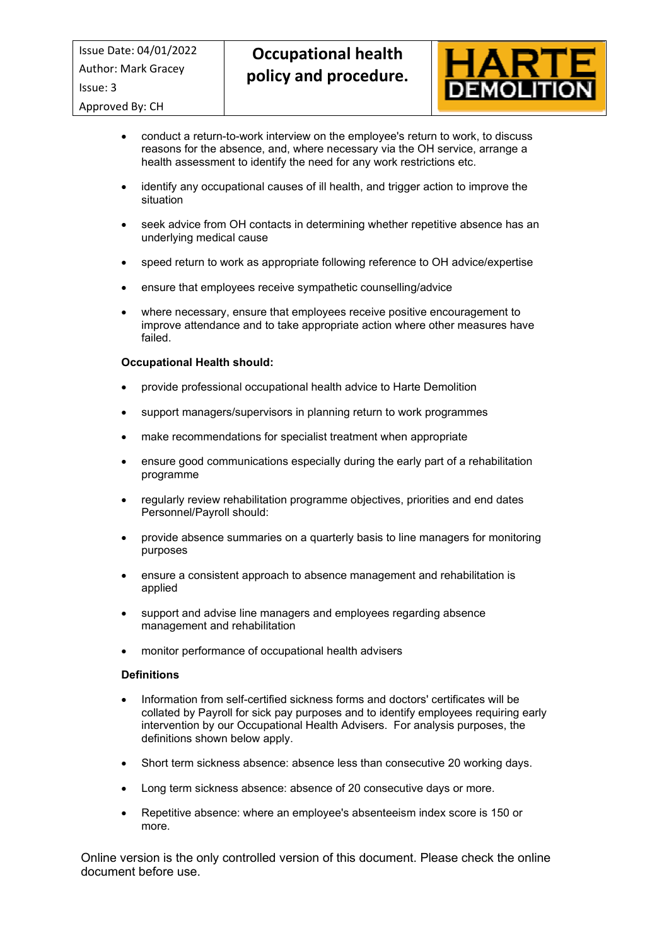Approved By: CH



- conduct a return-to-work interview on the employee's return to work, to discuss reasons for the absence, and, where necessary via the OH service, arrange a health assessment to identify the need for any work restrictions etc.
- identify any occupational causes of ill health, and trigger action to improve the situation
- seek advice from OH contacts in determining whether repetitive absence has an underlying medical cause
- speed return to work as appropriate following reference to OH advice/expertise
- ensure that employees receive sympathetic counselling/advice
- where necessary, ensure that employees receive positive encouragement to improve attendance and to take appropriate action where other measures have failed.

## **Occupational Health should:**

- provide professional occupational health advice to Harte Demolition
- support managers/supervisors in planning return to work programmes
- make recommendations for specialist treatment when appropriate
- ensure good communications especially during the early part of a rehabilitation programme
- regularly review rehabilitation programme objectives, priorities and end dates Personnel/Payroll should:
- provide absence summaries on a quarterly basis to line managers for monitoring purposes
- ensure a consistent approach to absence management and rehabilitation is applied
- support and advise line managers and employees regarding absence management and rehabilitation
- monitor performance of occupational health advisers

#### **Definitions**

- Information from self-certified sickness forms and doctors' certificates will be collated by Payroll for sick pay purposes and to identify employees requiring early intervention by our Occupational Health Advisers. For analysis purposes, the definitions shown below apply.
- Short term sickness absence: absence less than consecutive 20 working days.
- Long term sickness absence: absence of 20 consecutive days or more.
- Repetitive absence: where an employee's absenteeism index score is 150 or more.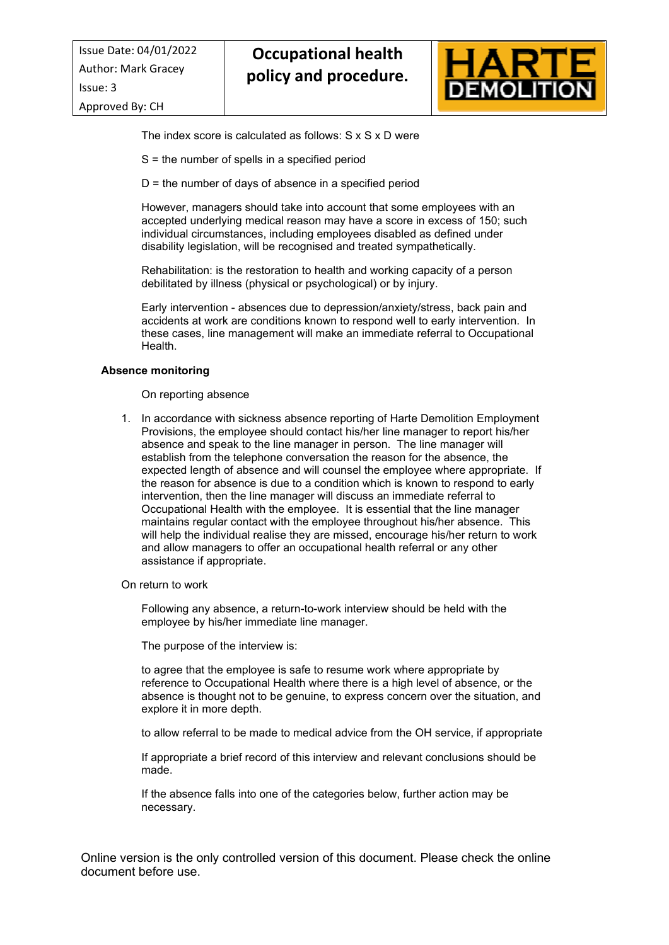

The index score is calculated as follows: S x S x D were

S = the number of spells in a specified period

 $D =$  the number of days of absence in a specified period

However, managers should take into account that some employees with an accepted underlying medical reason may have a score in excess of 150; such individual circumstances, including employees disabled as defined under disability legislation, will be recognised and treated sympathetically.

Rehabilitation: is the restoration to health and working capacity of a person debilitated by illness (physical or psychological) or by injury.

Early intervention - absences due to depression/anxiety/stress, back pain and accidents at work are conditions known to respond well to early intervention. In these cases, line management will make an immediate referral to Occupational Health.

## **Absence monitoring**

On reporting absence

- 1. In accordance with sickness absence reporting of Harte Demolition Employment Provisions, the employee should contact his/her line manager to report his/her absence and speak to the line manager in person. The line manager will establish from the telephone conversation the reason for the absence, the expected length of absence and will counsel the employee where appropriate. If the reason for absence is due to a condition which is known to respond to early intervention, then the line manager will discuss an immediate referral to Occupational Health with the employee. It is essential that the line manager maintains regular contact with the employee throughout his/her absence. This will help the individual realise they are missed, encourage his/her return to work and allow managers to offer an occupational health referral or any other assistance if appropriate.
- On return to work

Following any absence, a return-to-work interview should be held with the employee by his/her immediate line manager.

The purpose of the interview is:

to agree that the employee is safe to resume work where appropriate by reference to Occupational Health where there is a high level of absence, or the absence is thought not to be genuine, to express concern over the situation, and explore it in more depth.

to allow referral to be made to medical advice from the OH service, if appropriate

If appropriate a brief record of this interview and relevant conclusions should be made.

If the absence falls into one of the categories below, further action may be necessary.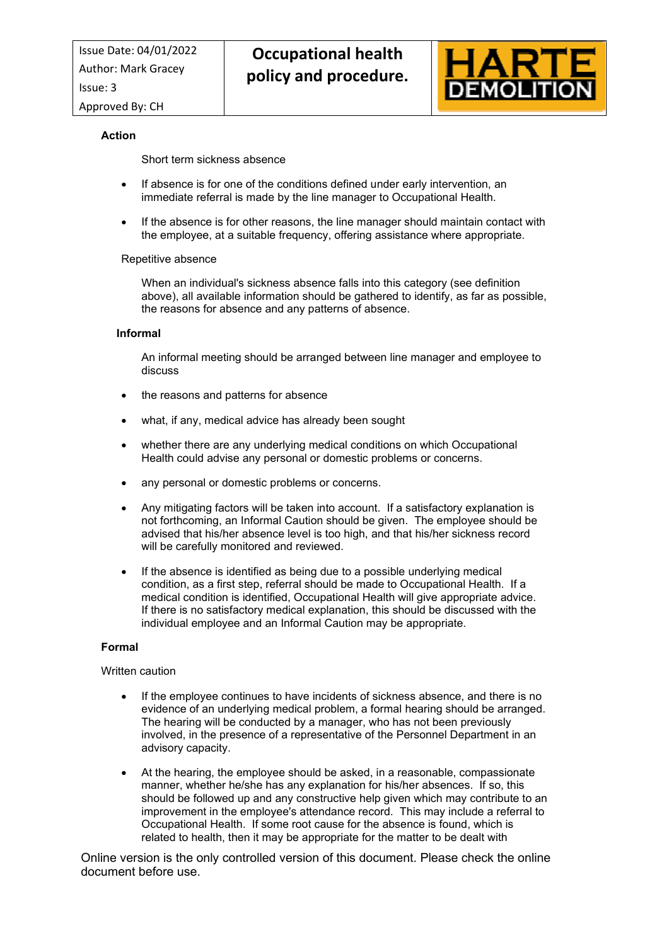

# **Action**

## Short term sickness absence

- If absence is for one of the conditions defined under early intervention, an immediate referral is made by the line manager to Occupational Health.
- If the absence is for other reasons, the line manager should maintain contact with the employee, at a suitable frequency, offering assistance where appropriate.

## Repetitive absence

When an individual's sickness absence falls into this category (see definition above), all available information should be gathered to identify, as far as possible, the reasons for absence and any patterns of absence.

## **Informal**

An informal meeting should be arranged between line manager and employee to discuss

- the reasons and patterns for absence
- what, if any, medical advice has already been sought
- whether there are any underlying medical conditions on which Occupational Health could advise any personal or domestic problems or concerns.
- any personal or domestic problems or concerns.
- Any mitigating factors will be taken into account. If a satisfactory explanation is not forthcoming, an Informal Caution should be given. The employee should be advised that his/her absence level is too high, and that his/her sickness record will be carefully monitored and reviewed.
- If the absence is identified as being due to a possible underlying medical condition, as a first step, referral should be made to Occupational Health. If a medical condition is identified, Occupational Health will give appropriate advice. If there is no satisfactory medical explanation, this should be discussed with the individual employee and an Informal Caution may be appropriate.

# **Formal**

#### Written caution

- If the employee continues to have incidents of sickness absence, and there is no evidence of an underlying medical problem, a formal hearing should be arranged. The hearing will be conducted by a manager, who has not been previously involved, in the presence of a representative of the Personnel Department in an advisory capacity.
- At the hearing, the employee should be asked, in a reasonable, compassionate manner, whether he/she has any explanation for his/her absences. If so, this should be followed up and any constructive help given which may contribute to an improvement in the employee's attendance record. This may include a referral to Occupational Health. If some root cause for the absence is found, which is related to health, then it may be appropriate for the matter to be dealt with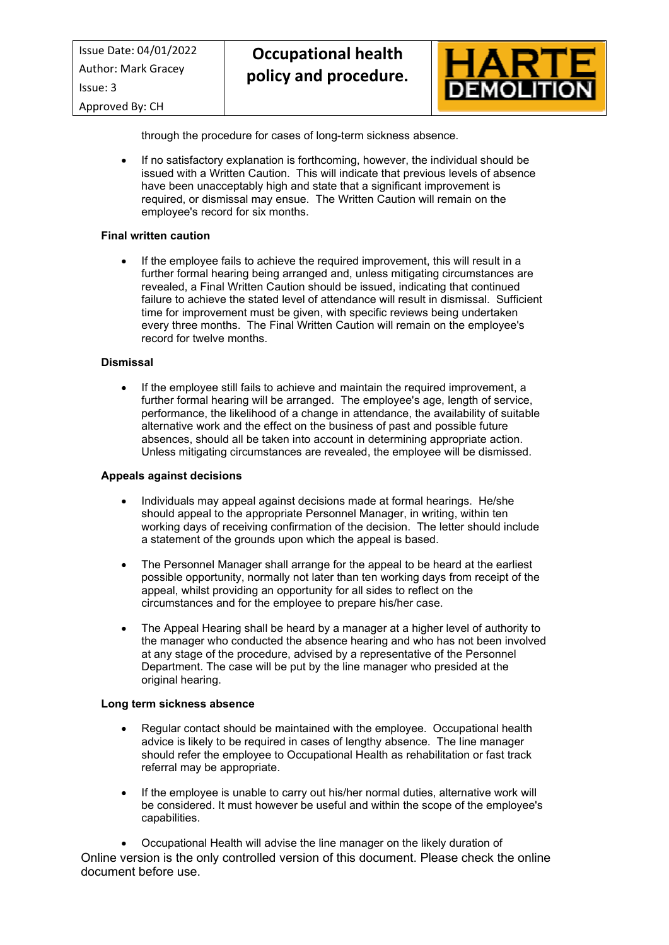

through the procedure for cases of long-term sickness absence.

 If no satisfactory explanation is forthcoming, however, the individual should be issued with a Written Caution. This will indicate that previous levels of absence have been unacceptably high and state that a significant improvement is required, or dismissal may ensue. The Written Caution will remain on the employee's record for six months.

#### **Final written caution**

 If the employee fails to achieve the required improvement, this will result in a further formal hearing being arranged and, unless mitigating circumstances are revealed, a Final Written Caution should be issued, indicating that continued failure to achieve the stated level of attendance will result in dismissal. Sufficient time for improvement must be given, with specific reviews being undertaken every three months. The Final Written Caution will remain on the employee's record for twelve months.

## **Dismissal**

 If the employee still fails to achieve and maintain the required improvement, a further formal hearing will be arranged. The employee's age, length of service, performance, the likelihood of a change in attendance, the availability of suitable alternative work and the effect on the business of past and possible future absences, should all be taken into account in determining appropriate action. Unless mitigating circumstances are revealed, the employee will be dismissed.

#### **Appeals against decisions**

- Individuals may appeal against decisions made at formal hearings. He/she should appeal to the appropriate Personnel Manager, in writing, within ten working days of receiving confirmation of the decision. The letter should include a statement of the grounds upon which the appeal is based.
- The Personnel Manager shall arrange for the appeal to be heard at the earliest possible opportunity, normally not later than ten working days from receipt of the appeal, whilst providing an opportunity for all sides to reflect on the circumstances and for the employee to prepare his/her case.
- The Appeal Hearing shall be heard by a manager at a higher level of authority to the manager who conducted the absence hearing and who has not been involved at any stage of the procedure, advised by a representative of the Personnel Department. The case will be put by the line manager who presided at the original hearing.

# **Long term sickness absence**

- Regular contact should be maintained with the employee. Occupational health advice is likely to be required in cases of lengthy absence. The line manager should refer the employee to Occupational Health as rehabilitation or fast track referral may be appropriate.
- If the employee is unable to carry out his/her normal duties, alternative work will be considered. It must however be useful and within the scope of the employee's capabilities.

Online version is the only controlled version of this document. Please check the online document before use. Occupational Health will advise the line manager on the likely duration of